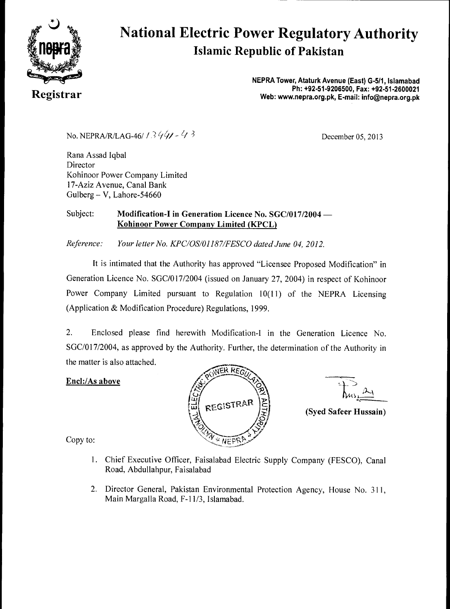

# **National Electric Power Regulatory Authority Islamic Republic of Pakistan**

**NEPRA Tower, Ataturk Avenue (East) G-511, Islamabad Physics Areally and Philippines and Philippines are all the Constantines and Philippines are all the Constantines and Philippines are all the Constantines are all the Constantines are all the Constantines are all the Cons** 

No. NEPRA/R/LAG-46/ /  $3\frac{4}{4}$   $\frac{4}{3}$  December 05, 2013

Rana Assad Iqbal **Director** Kohinoor Power Company Limited 17-Aziz Avenue, Canal Bank Gulberg - V, Lahore-54660

#### Subject: **Modification-I in Generation Licence No. SGC/017/2004 — Kohinoor Power Company Limited (KPCL)**

*Reference: Your letter No. KPC/OS/01187/FESCO dated June 04, 2012.* 

It is intimated that the Authority has approved "Licensee Proposed Modification" in Generation Licence No. SGC/017/2004 (issued on January 27, 2004) in respect of Kohinoor Power Company Limited pursuant to Regulation 10(11) of the NEPRA Licensing (Application & Modification Procedure) Regulations, 1999.

2. Enclosed please find herewith Modification-I in the Generation Licence No. SGC/017/2004, as approved by the Authority. Further, the determination of the Authority in the matter is also attached.

#### **Encl:/As above**





**(Syed Safeer Hussain)** 

Copy to:

- 1. Chief Executive Officer, Faisalabad Electric Supply Company (FESCO), Canal Road, Abdullahpur, Faisalabad
- 2. Director General, Pakistan Environmental Protection Agency, House No. 311, Main Margalla Road, F-11/3, Islamabad.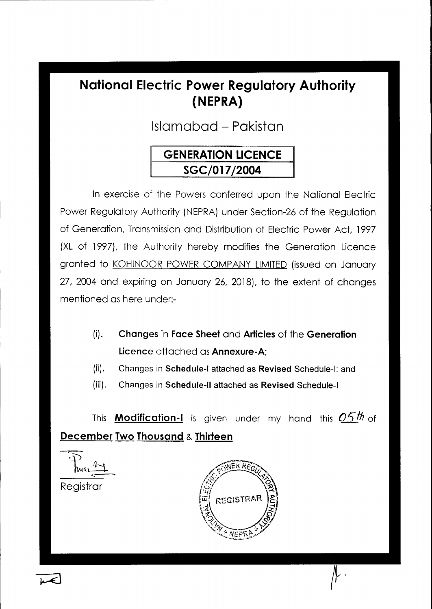# **National Electric Power Regulatory Authority (NEPRA)**

Islamabad - Pakistan

# **GENERATION LICENCE SGC/017/2004**

In exercise of the Powers conferred upon the National Electric Power Regulatory Authority (NEPRA) under Section-26 of the Regulation of Generation, Transmission and Distribution of Electric Power Act, 1997 (XL of 1997), the Authority hereby modifies the Generation Licence granted to KOHINOOR POWER COMPANY LIMITED (issued on January 27, 2004 and expiring on January 26, 2018), to the extent of changes mentioned as here under:-

- **(i). Changes** in **Face Sheet** and **Articles** of the **Generation Licence** attached as **Annexure-A;**
- **(ii). Changes in Schedule-I attached as Revised Schedule-I: and**
- **(iii). Changes in Schedule-II attached as Revised Schedule-I**

This **Modification-I** is given under my hand this  $0.5$ th of **December Two Thousand & Thirteen** 

 $\overline{\mathcal{P}}$ Nuer **Registrar** 

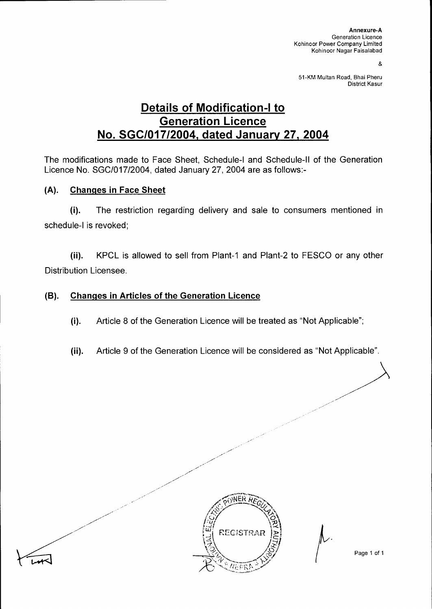8

51-KM Multan Road, Bhai Pheru District Kasur

## **Details of Modification-I to Generation Licence No. SGC/017/2004, dated January 27, 2004**

The modifications made to Face Sheet, Schedule-I and Schedule-II of the Generation Licence No. SGC/017/2004, dated January 27, 2004 are as follows:-

#### **(A). Changes in Face Sheet**

(i). The restriction regarding delivery and sale to consumers mentioned in schedule-I is revoked;

(ii). KPCL is allowed to sell from Plant-1 and Plant-2 to FESCO or any other Distribution Licensee.

#### **(B). Changes in Articles of the Generation Licence**

- (i). Article 8 of the Generation Licence will be treated as "Not Applicable";
- (ii). Article 9 of the Generation Licence will be considered as "Not Applicable".



Page 1 of 1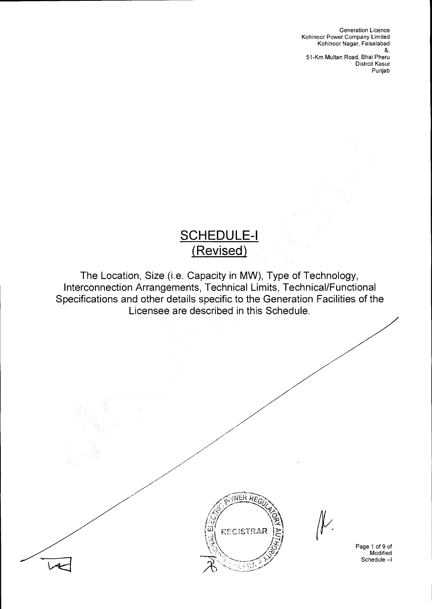Generation Licence Kohinoor Power Company Limited Kohinoor Nagar, Faisalabad &. 51-Km Multan Road, Bhai Pheru Distrcit Kasur Punjab

# **SCHEDULE-I (Revised)**

The Location, Size (i.e. Capacity in MW), Type of Technology, Interconnection Arrangements, Technical Limits, Technical/Functional Specifications and other details specific to the Generation Facilities of the Licensee are described in this Schedule.



Page 1 of 9 of Modified Schedule —1

 $\mathcal{V}$ .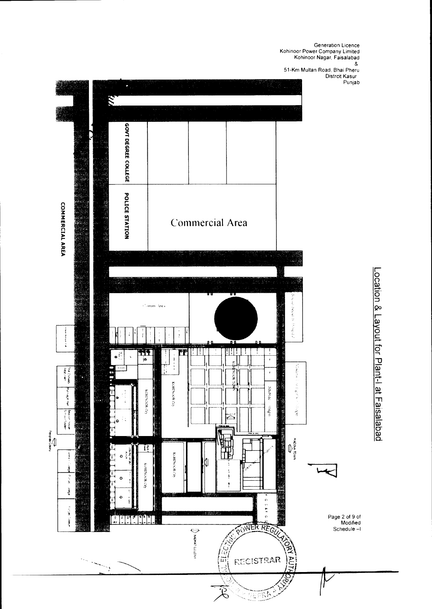Generation Licence Kohinoor Power Company Limited Kohinoor Nagar, Faisalabad 51-Km Multan Road, Bhai Pheru

Distrcit Kasur

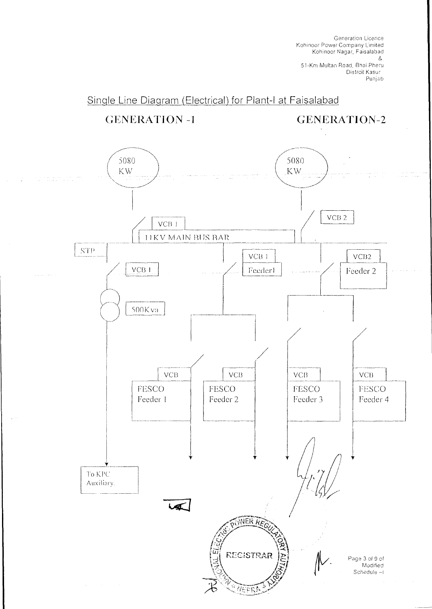Generation Licence Kohinoor Power Company Limited Kohinoor Nagar, Faisalabad &. 51-Km Multan Road, Bhai Pheru Distrcit Kasur

Punjab

### Single Line Diagram (Electrical) for Plant-I at Faisalabad

 $\Delta \omega_{\rm{eff}}=2.7$ 

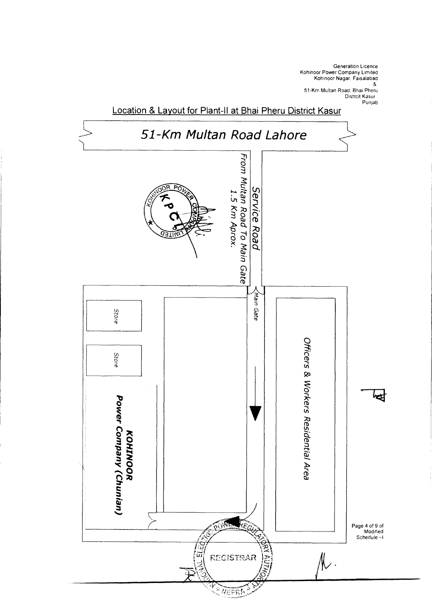

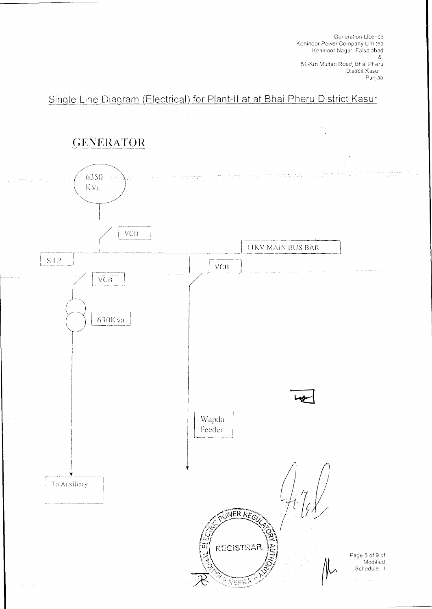Generation licence Kohinoor Power Company Limited Kohinoor Nagar, Faisalabad 8. 51-Km Multan Road, Bhai Pheru Distrcit Kasur

### Single Line Diagram (Electrical) for Plant-II at at Bhai Pheru District Kasur

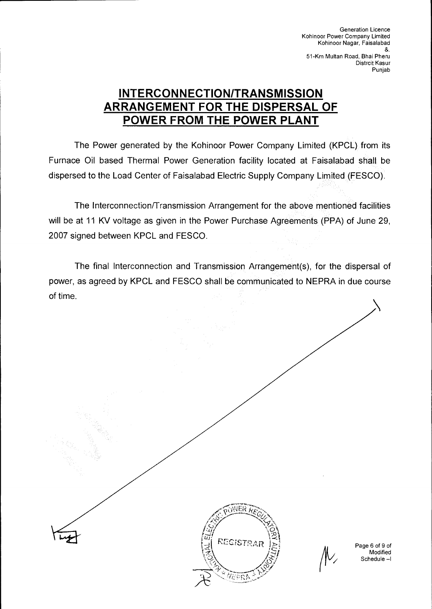Generation Licence Kohinoor Power Company Limited Kohinoor Nagar, Faisalabad &. 51-Km Multan Road, Bhai Pheru Distrcit Kasur Punjab

## **INTERCONNECTION/TRANSMISSION ARRANGEMENT FOR THE DISPERSAL OF POWER FROM THE POWER PLANT**

The Power generated by the Kohinoor Power Company Limited (KPCL) from its Furnace Oil based Thermal Power Generation facility located at Faisalabad shall be dispersed to the Load Center of Faisalabad Electric Supply Company Limited (FESCO).

The Interconnection/Transmission Arrangement for the above mentioned facilities will be at 11 KV voltage as given in the Power Purchase Agreements (PPA) of June 29, 2007 signed between KPCL and FESCO.

The final Interconnection and Transmission Arrangement(s), for the dispersal of power, as agreed by KPCL and FESCO shall be communicated to NEPRA in due course of time.

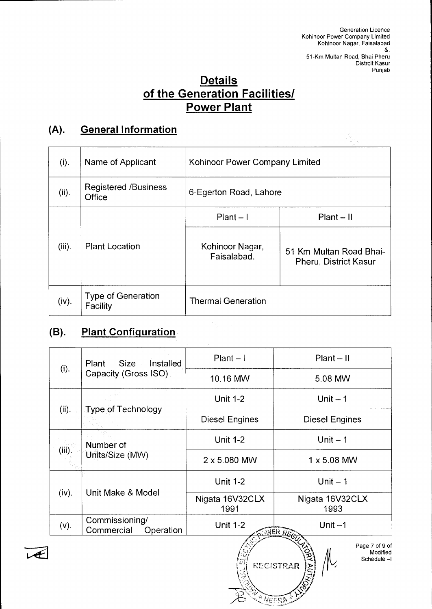### **Details of the Generation Facilities/ Power Plant**

## **(A). General Information**

| $(i)$ .   | Name of Applicant                     | Kohinoor Power Company Limited |                                                         |
|-----------|---------------------------------------|--------------------------------|---------------------------------------------------------|
| (ii).     | <b>Registered /Business</b><br>Office | 6-Egerton Road, Lahore         |                                                         |
|           |                                       | $Plant - I$                    | $Plant - II$                                            |
| $(iii)$ . | <b>Plant Location</b>                 | Kohinoor Nagar,<br>Faisalabad. | 51 Km Multan Road Bhai-<br><b>Pheru, District Kasur</b> |
| (iv).     | <b>Type of Generation</b><br>Facility | <b>Thermal Generation</b>      |                                                         |

### **(B). Plant Configuration**

Æ

| (i).      | Size -<br>Installed<br>Plant<br>Capacity (Gross ISO) | $Plant - l$<br>$Plant - II$<br>$\sim 10^{11}$    |                                 |  |
|-----------|------------------------------------------------------|--------------------------------------------------|---------------------------------|--|
|           |                                                      | 10.16 MW                                         | 5.08 MW                         |  |
|           |                                                      | <b>Unit 1-2</b>                                  | Unit $-1$                       |  |
| (ii).     | <b>Type of Technology</b>                            | <b>Diesel Engines</b>                            | <b>Diesel Engines</b>           |  |
| $(iii)$ . | Number of<br>Units/Size (MW)                         | <b>Unit 1-2</b>                                  | Unit $-1$                       |  |
|           |                                                      | 2 x 5.080 MW                                     | $1 \times 5.08$ MW              |  |
| (iv).     | Unit Make & Model                                    | <b>Unit 1-2</b>                                  | Unit $-1$                       |  |
|           |                                                      | Nigata 16V32CLX<br>1991                          | Nigata 16V32CLX<br>1993         |  |
| (v).      | Commissioning/<br>Commercial<br>Operation            | <b>Unit 1-2</b><br>Unit $-1$<br><b>WIEK REGY</b> |                                 |  |
|           |                                                      |                                                  | Page 7 of 9 of<br>М<br>Modified |  |

 $\mathscr{V}$ 

 $\setminus$ 

REGISTRAR JEJ

:?<

Modified Schedule —I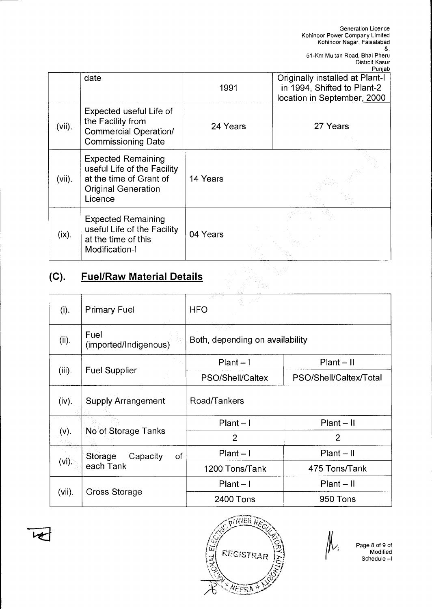|           |                                                                                                                              |          | Punjab                                                                                        |
|-----------|------------------------------------------------------------------------------------------------------------------------------|----------|-----------------------------------------------------------------------------------------------|
|           | date                                                                                                                         | 1991     | Originally installed at Plant-I<br>in 1994, Shifted to Plant-2<br>location in September, 2000 |
| $(vii)$ . | Expected useful Life of<br>the Facility from<br><b>Commercial Operation/</b><br><b>Commissioning Date</b>                    | 24 Years | 27 Years                                                                                      |
| $(vii)$ . | <b>Expected Remaining</b><br>useful Life of the Facility<br>at the time of Grant of<br><b>Original Generation</b><br>Licence | 14 Years |                                                                                               |
| $(ix)$ .  | <b>Expected Remaining</b><br>useful Life of the Facility<br>at the time of this<br>Modification-I                            | 04 Years |                                                                                               |

# **(C). Fuel/Raw Material Details**

| (i).      | <b>Primary Fuel</b>                    | <b>HFO</b>                      |                        |  |
|-----------|----------------------------------------|---------------------------------|------------------------|--|
| (ii).     | Fuel<br>(imported/Indigenous)          | Both, depending on availability |                        |  |
|           | Fuel Supplier                          | $Plant - 1$                     | $Plant - II$           |  |
| $(iii)$ . |                                        | PSO/Shell/Caltex                | PSO/Shell/Caltex/Total |  |
| (iv).     | <b>Supply Arrangement</b>              | Road/Tankers                    |                        |  |
|           |                                        | $Plant - I$                     | $Plant - II$           |  |
| (v).      | No of Storage Tanks                    | $\overline{2}$                  | $\overline{2}$         |  |
|           | of<br>Storage<br>Capacity<br>each Tank | $Plant - I$                     | $Plant - II$           |  |
| $(vi)$ .  |                                        | 1200 Tons/Tank                  | 475 Tons/Tank          |  |
| $(vii)$ . | Gross Storage                          | $Plant - I$                     | $Plant - II$           |  |
|           |                                        | 2400 Tons                       | 950 Tons               |  |



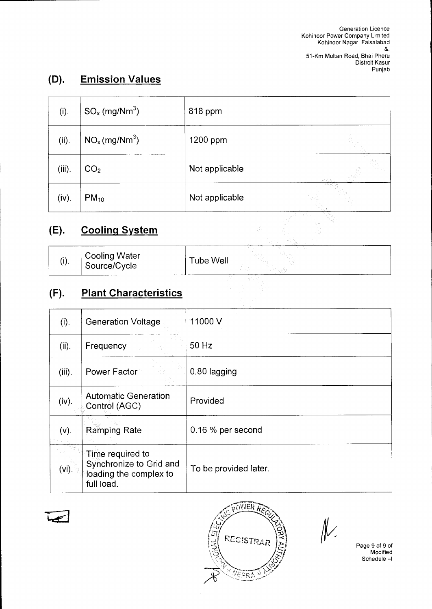## **(D). Emission Values**

| (i).      | $SO_x$ (mg/Nm <sup>3</sup> ) | 818 ppm        |        |
|-----------|------------------------------|----------------|--------|
| (ii).     | $NO_x$ (mg/Nm <sup>3</sup> ) | 1200 ppm       |        |
| $(iii)$ . | CO <sub>2</sub>              | Not applicable | in Bar |
| (iv).     | $PM_{10}$                    | Not applicable |        |

# **(E). Cooling System**

| (i). | Cooling Water<br>Source/Cycle | Tube Well | ---------------<br>. |
|------|-------------------------------|-----------|----------------------|
|------|-------------------------------|-----------|----------------------|

# **(F). Plant Characteristics**

| (i).      | <b>Generation Voltage</b>                                                           | 11000V                |
|-----------|-------------------------------------------------------------------------------------|-----------------------|
| (ii).     | Frequency                                                                           | 50 Hz                 |
| $(iii)$ . | Power Factor                                                                        | 0.80 lagging          |
| (iv).     | <b>Automatic Generation</b><br>Control (AGC)                                        | Provided              |
| $(v)$ .   | <b>Ramping Rate</b>                                                                 | $0.16\%$ per second   |
| $(vi)$ .  | Time required to<br>Synchronize to Grid and<br>loading the complex to<br>full load. | To be provided later. |





 $\mathcal{N}$ 

Page 9 of 9 of Modified Schedule —I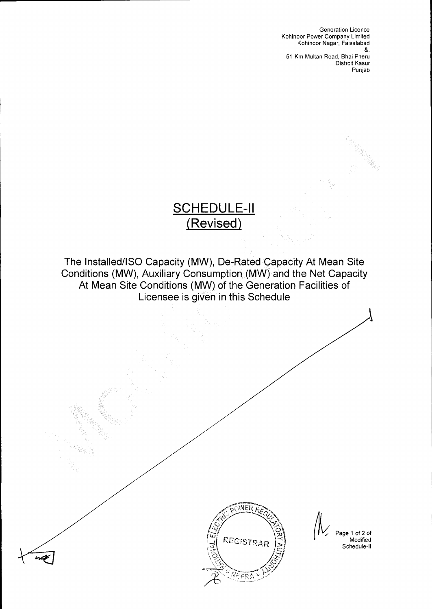Generation Licence Kohinoor Power Company Limited Kohinoor Nagar, Faisalabad &.

51-Km Multan Road, Bhai Pheru Distrcit Kasur Punjab

# **SCHEDULE-II (Revised)**

The Installed/ISO Capacity (MW), De-Rated Capacity At Mean Site Conditions (MW), Auxiliary Consumption (MW) and the Net Capacity At Mean Site Conditions (MW) of the Generation Facilities of Licensee is given in this Schedule



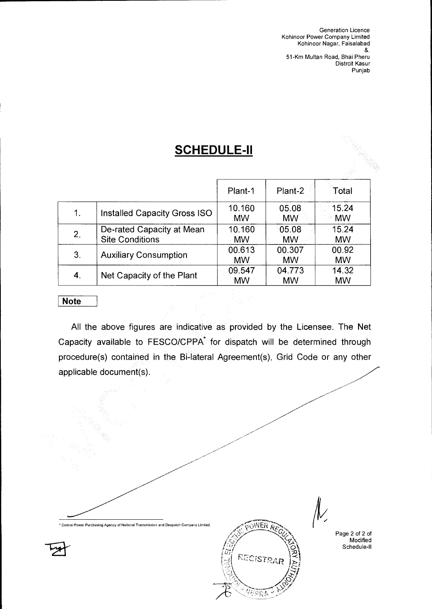Generation Licence Kohinoor Power Company Limited Kohinoor Nagar, Faisalabad &.

51-Km Multan Road, Bhai Pheru Distrcit Kasur Punjab

# **SCHEDULE-II**

|    |                                                     | Plant-1             | Plant-2             | Total              |
|----|-----------------------------------------------------|---------------------|---------------------|--------------------|
| 1. | Installed Capacity Gross ISO                        | 10.160<br><b>MW</b> | 05.08<br><b>MW</b>  | 15.24<br><b>MW</b> |
| 2. | De-rated Capacity at Mean<br><b>Site Conditions</b> | 10.160<br><b>MW</b> | 05.08<br><b>MW</b>  | 15.24<br><b>MW</b> |
| 3. | <b>Auxiliary Consumption</b>                        | 00.613<br><b>MW</b> | 00.307<br><b>MW</b> | 00.92<br><b>MW</b> |
| 4. | Net Capacity of the Plant                           | 09.547<br><b>MW</b> | 04.773<br><b>MW</b> | 14.32<br><b>MW</b> |

#### **Note**

All the above figures are indicative as provided by the Licensee. The Net Capacity available to FESCO/CPPA<sup>\*</sup> for dispatch will be determined through procedure(s) contained in the Bi-lateral Agreement(s), Grid Code or any other applicable document(s).

 $\widetilde{\rm p_0WER}$ Central Power Purchasing Agency of National Transmission and Despatch Company Limited Page 2 of 2 of ••• Modified Schedule-II REGISTRA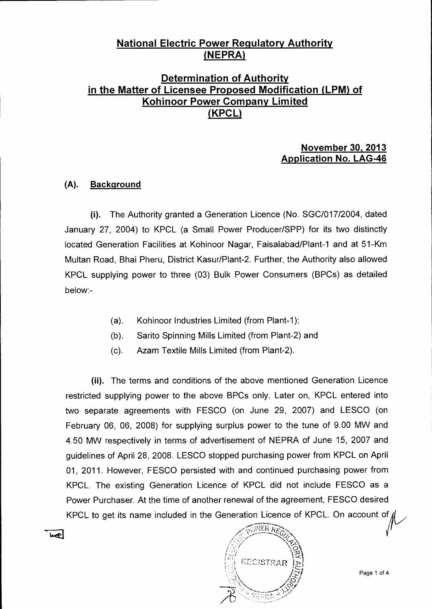#### **National Electric Power Regulatory Authority (NEPRA)**

### **Determination of Authority in the Matter of Licensee Proposed Modification (LPM) of Kohinoor Power Company Limited (KPCL)**

#### **November 30, 2013 Application No. LAG-46**

#### **(A). Background**

احمدا

(i). The Authority granted a Generation Licence (No. SGC/017/2004, dated January 27, 2004) to KPCL (a Small Power Producer/SPP) for its two distinctly located Generation Facilities at Kohinoor Nagar, Faisalabad/Plant-1 and at 51-Km Multan Road, Bhai Pheru, District Kasur/Plant-2. Further, the Authority also allowed KPCL supplying power to three (03) Bulk Power Consumers (BPCs) as detailed below:-

- (a). Kohinoor Industries Limited (from Plant-1);
- (b). Sarito Spinning Mills Limited (from Plant-2) and
- (c). Azam Textile Mills Limited (from Plant-2).

(ii). The terms and conditions of the above mentioned Generation Licence restricted supplying power to the above BPCs only. Later on, KPCL entered into two separate agreements with FESCO (on June 29, 2007) and LESCO (on February 06, 06, 2008) for supplying surplus power to the tune of 9.00 MW and 4.50 MW respectively in terms of advertisement of NEPRA of June 15, 2007 and guidelines of April 28, 2008. LESCO stopped purchasing power from KPCL on April 01, 2011. However, FESCO persisted with and continued purchasing power from KPCL. The existing Generation Licence of KPCL did not include FESCO as a Power Purchaser. At the time of another renewal of the agreement, FESCO desired KPCL to get its name included in the Generation Licence of KPCL. On account of

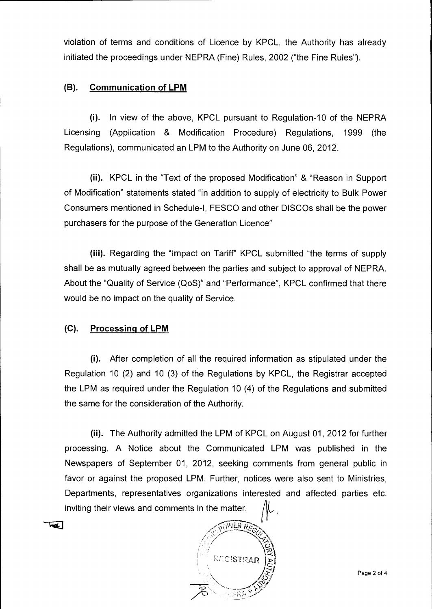violation of terms and conditions of Licence by KPCL, the Authority has already initiated the proceedings under NEPRA (Fine) Rules, 2002 ("the Fine Rules").

#### **(B). Communication of LPM**

(i). In view of the above, KPCL pursuant to Regulation-10 of the NEPRA Licensing (Application & Modification Procedure) Regulations, 1999 (the Regulations), communicated an LPM to the Authority on June 06, 2012.

(ii). KPCL in the "Text of the proposed Modification" & "Reason in Support of Modification" statements stated "in addition to supply of electricity to Bulk Power Consumers mentioned in Schedule-I, FESCO and other DISCOs shall be the power purchasers for the purpose of the Generation Licence"

(iii). Regarding the "Impact on Tariff" KPCL submitted "the terms of supply shall be as mutually agreed between the parties and subject to approval of NEPRA. About the "Quality of Service (QoS)" and "Performance", KPCL confirmed that there would be no impact on the quality of Service.

#### **(C). Processing of LPM**

 $\overline{M}$ 

(i). After completion of all the required information as stipulated under the Regulation 10 (2) and 10 (3) of the Regulations by KPCL, the Registrar accepted the LPM as required under the Regulation 10 (4) of the Regulations and submitted the same for the consideration of the Authority.

(ii). The Authority admitted the LPM of KPCL on August 01, 2012 for further processing. A Notice about the Communicated LPM was published in the Newspapers of September 01, 2012, seeking comments from general public in favor or against the proposed LPM. Further, notices were also sent to Ministries, Departments, representatives organizations interested and affected parties etc. inviting their views and comments in the matter.

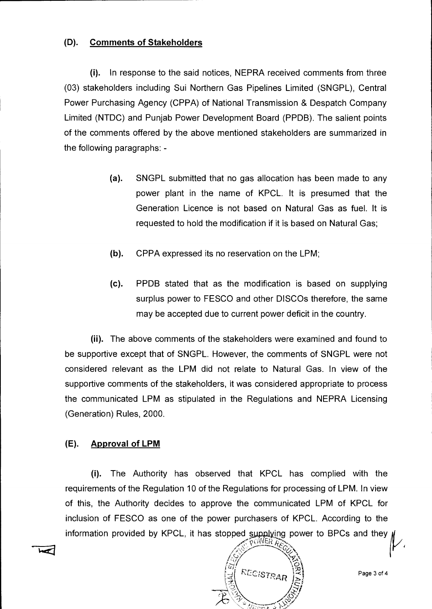#### **(D). Comments of Stakeholders**

(i). In response to the said notices, NEPRA received comments from three (03) stakeholders including Sui Northern Gas Pipelines Limited (SNGPL), Central Power Purchasing Agency (CPPA) of National Transmission & Despatch Company Limited (NTDC) and Punjab Power Development Board (PPDB). The salient points of the comments offered by the above mentioned stakeholders are summarized in the following paragraphs: -

- (a). SNGPL submitted that no gas allocation has been made to any power plant in the name of KPCL. It is presumed that the Generation Licence is not based on Natural Gas as fuel. It is requested to hold the modification if it is based on Natural Gas;
- (b). CPPA expressed its no reservation on the LPM;
- (c). PPDB stated that as the modification is based on supplying surplus power to FESCO and other DISCOs therefore, the same may be accepted due to current power deficit in the country.

**(ii).** The above comments of the stakeholders were examined and found to be supportive except that of SNGPL. However, the comments of SNGPL were not considered relevant as the LPM did not relate to Natural Gas. In view of the supportive comments of the stakeholders, it was considered appropriate to process the communicated LPM as stipulated in the Regulations and NEPRA Licensing (Generation) Rules, 2000.

#### **(E). Approval of LPM**

(i). The Authority has observed that KPCL has complied with the requirements of the Regulation 10 of the Regulations for processing of LPM. In view of this, the Authority decides to approve the communicated LPM of KPCL for inclusion of FESCO as one of the power purchasers of KPCL. According to the information provided by KPCL, it has stopped supplying power to BPCs and they  $\#$ 

POWER ARS RECISTRA

Page 3 of 4